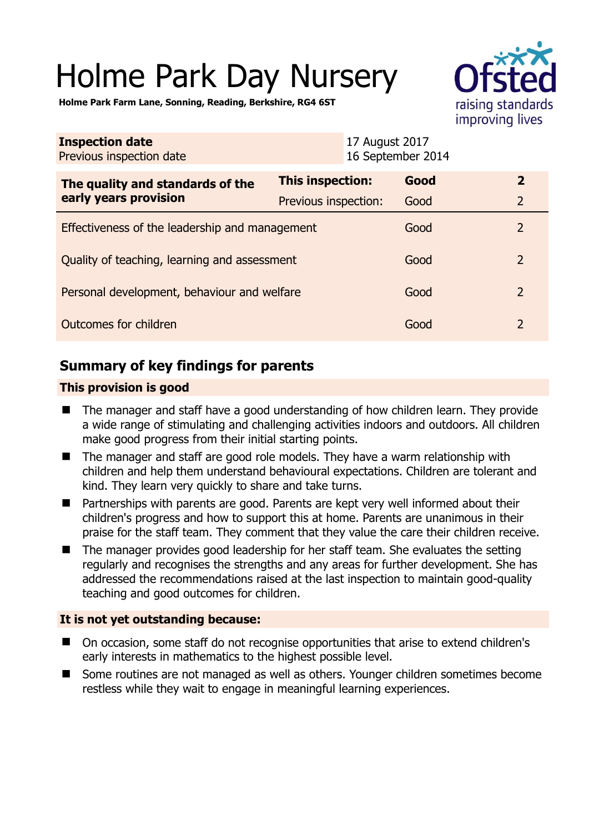# Holme Park Day Nursery



**Holme Park Farm Lane, Sonning, Reading, Berkshire, RG4 6ST** 

| <b>Inspection date</b><br>Previous inspection date        |                      | 17 August 2017<br>16 September 2014 |                          |
|-----------------------------------------------------------|----------------------|-------------------------------------|--------------------------|
| The quality and standards of the<br>early years provision | This inspection:     | Good                                | $\overline{2}$           |
|                                                           | Previous inspection: | Good                                | $\overline{2}$           |
| Effectiveness of the leadership and management            |                      | Good                                | $\overline{2}$           |
| Quality of teaching, learning and assessment              |                      | Good                                | $\overline{\phantom{0}}$ |
| Personal development, behaviour and welfare               |                      | Good                                | $\overline{2}$           |
| Outcomes for children                                     |                      | Good                                | $\overline{2}$           |

# **Summary of key findings for parents**

## **This provision is good**

- The manager and staff have a good understanding of how children learn. They provide a wide range of stimulating and challenging activities indoors and outdoors. All children make good progress from their initial starting points.
- The manager and staff are good role models. They have a warm relationship with children and help them understand behavioural expectations. Children are tolerant and kind. They learn very quickly to share and take turns.
- Partnerships with parents are good. Parents are kept very well informed about their children's progress and how to support this at home. Parents are unanimous in their praise for the staff team. They comment that they value the care their children receive.
- The manager provides good leadership for her staff team. She evaluates the setting regularly and recognises the strengths and any areas for further development. She has addressed the recommendations raised at the last inspection to maintain good-quality teaching and good outcomes for children.

## **It is not yet outstanding because:**

- On occasion, some staff do not recognise opportunities that arise to extend children's early interests in mathematics to the highest possible level.
- Some routines are not managed as well as others. Younger children sometimes become restless while they wait to engage in meaningful learning experiences.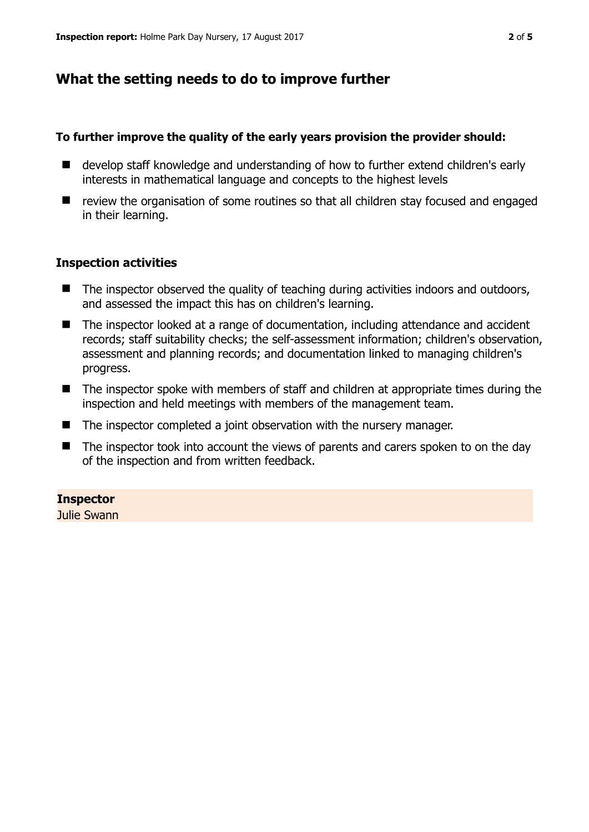# **What the setting needs to do to improve further**

#### **To further improve the quality of the early years provision the provider should:**

- develop staff knowledge and understanding of how to further extend children's early interests in mathematical language and concepts to the highest levels
- review the organisation of some routines so that all children stay focused and engaged in their learning.

#### **Inspection activities**

- The inspector observed the quality of teaching during activities indoors and outdoors, and assessed the impact this has on children's learning.
- The inspector looked at a range of documentation, including attendance and accident records; staff suitability checks; the self-assessment information; children's observation, assessment and planning records; and documentation linked to managing children's progress.
- The inspector spoke with members of staff and children at appropriate times during the inspection and held meetings with members of the management team.
- $\blacksquare$  The inspector completed a joint observation with the nursery manager.
- The inspector took into account the views of parents and carers spoken to on the day of the inspection and from written feedback.

#### **Inspector**

Julie Swann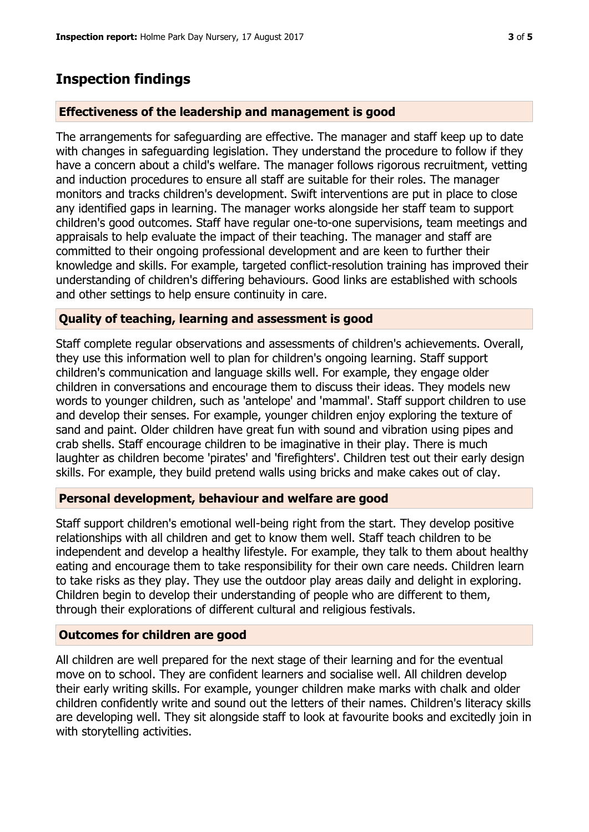## **Inspection findings**

#### **Effectiveness of the leadership and management is good**

The arrangements for safeguarding are effective. The manager and staff keep up to date with changes in safeguarding legislation. They understand the procedure to follow if they have a concern about a child's welfare. The manager follows rigorous recruitment, vetting and induction procedures to ensure all staff are suitable for their roles. The manager monitors and tracks children's development. Swift interventions are put in place to close any identified gaps in learning. The manager works alongside her staff team to support children's good outcomes. Staff have regular one-to-one supervisions, team meetings and appraisals to help evaluate the impact of their teaching. The manager and staff are committed to their ongoing professional development and are keen to further their knowledge and skills. For example, targeted conflict-resolution training has improved their understanding of children's differing behaviours. Good links are established with schools and other settings to help ensure continuity in care.

#### **Quality of teaching, learning and assessment is good**

Staff complete regular observations and assessments of children's achievements. Overall, they use this information well to plan for children's ongoing learning. Staff support children's communication and language skills well. For example, they engage older children in conversations and encourage them to discuss their ideas. They models new words to younger children, such as 'antelope' and 'mammal'. Staff support children to use and develop their senses. For example, younger children enjoy exploring the texture of sand and paint. Older children have great fun with sound and vibration using pipes and crab shells. Staff encourage children to be imaginative in their play. There is much laughter as children become 'pirates' and 'firefighters'. Children test out their early design skills. For example, they build pretend walls using bricks and make cakes out of clay.

#### **Personal development, behaviour and welfare are good**

Staff support children's emotional well-being right from the start. They develop positive relationships with all children and get to know them well. Staff teach children to be independent and develop a healthy lifestyle. For example, they talk to them about healthy eating and encourage them to take responsibility for their own care needs. Children learn to take risks as they play. They use the outdoor play areas daily and delight in exploring. Children begin to develop their understanding of people who are different to them, through their explorations of different cultural and religious festivals.

#### **Outcomes for children are good**

All children are well prepared for the next stage of their learning and for the eventual move on to school. They are confident learners and socialise well. All children develop their early writing skills. For example, younger children make marks with chalk and older children confidently write and sound out the letters of their names. Children's literacy skills are developing well. They sit alongside staff to look at favourite books and excitedly join in with storytelling activities.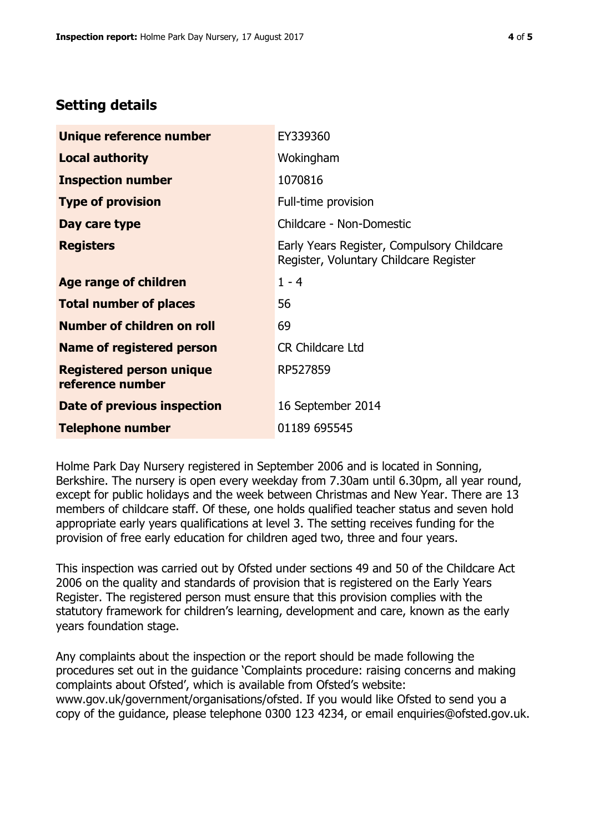# **Setting details**

| Unique reference number                             | EY339360                                                                             |  |
|-----------------------------------------------------|--------------------------------------------------------------------------------------|--|
| <b>Local authority</b>                              | Wokingham                                                                            |  |
| <b>Inspection number</b>                            | 1070816                                                                              |  |
| <b>Type of provision</b>                            | Full-time provision                                                                  |  |
| Day care type                                       | Childcare - Non-Domestic                                                             |  |
| <b>Registers</b>                                    | Early Years Register, Compulsory Childcare<br>Register, Voluntary Childcare Register |  |
| Age range of children                               | $1 - 4$                                                                              |  |
| <b>Total number of places</b>                       | 56                                                                                   |  |
| Number of children on roll                          | 69                                                                                   |  |
| Name of registered person                           | <b>CR Childcare Ltd</b>                                                              |  |
| <b>Registered person unique</b><br>reference number | RP527859                                                                             |  |
| Date of previous inspection                         | 16 September 2014                                                                    |  |
| <b>Telephone number</b>                             | 01189 695545                                                                         |  |

Holme Park Day Nursery registered in September 2006 and is located in Sonning, Berkshire. The nursery is open every weekday from 7.30am until 6.30pm, all year round, except for public holidays and the week between Christmas and New Year. There are 13 members of childcare staff. Of these, one holds qualified teacher status and seven hold appropriate early years qualifications at level 3. The setting receives funding for the provision of free early education for children aged two, three and four years.

This inspection was carried out by Ofsted under sections 49 and 50 of the Childcare Act 2006 on the quality and standards of provision that is registered on the Early Years Register. The registered person must ensure that this provision complies with the statutory framework for children's learning, development and care, known as the early years foundation stage.

Any complaints about the inspection or the report should be made following the procedures set out in the guidance 'Complaints procedure: raising concerns and making complaints about Ofsted', which is available from Ofsted's website: www.gov.uk/government/organisations/ofsted. If you would like Ofsted to send you a copy of the guidance, please telephone 0300 123 4234, or email enquiries@ofsted.gov.uk.